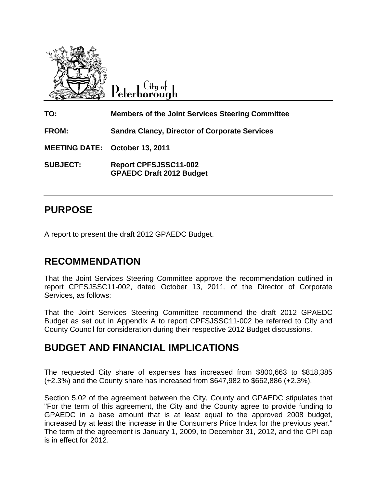

Citu o<del>l</del> Peterborough

**TO: Members of the Joint Services Steering Committee FROM: Sandra Clancy, Director of Corporate Services MEETING DATE: October 13, 2011 SUBJECT: Report CPFSJSSC11-002 GPAEDC Draft 2012 Budget**

### **PURPOSE**

A report to present the draft 2012 GPAEDC Budget.

## **RECOMMENDATION**

That the Joint Services Steering Committee approve the recommendation outlined in report CPFSJSSC11-002, dated October 13, 2011, of the Director of Corporate Services, as follows:

That the Joint Services Steering Committee recommend the draft 2012 GPAEDC Budget as set out in Appendix A to report CPFSJSSC11-002 be referred to City and County Council for consideration during their respective 2012 Budget discussions.

#### **BUDGET AND FINANCIAL IMPLICATIONS**

The requested City share of expenses has increased from \$800,663 to \$818,385 (+2.3%) and the County share has increased from \$647,982 to \$662,886 (+2.3%).

Section 5.02 of the agreement between the City, County and GPAEDC stipulates that "For the term of this agreement, the City and the County agree to provide funding to GPAEDC in a base amount that is at least equal to the approved 2008 budget, increased by at least the increase in the Consumers Price Index for the previous year." The term of the agreement is January 1, 2009, to December 31, 2012, and the CPI cap is in effect for 2012.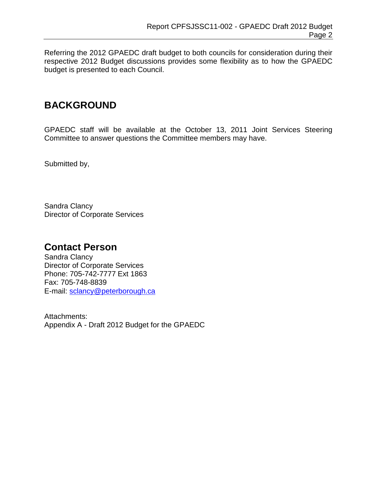Referring the 2012 GPAEDC draft budget to both councils for consideration during their respective 2012 Budget discussions provides some flexibility as to how the GPAEDC budget is presented to each Council.

## **BACKGROUND**

GPAEDC staff will be available at the October 13, 2011 Joint Services Steering Committee to answer questions the Committee members may have.

Submitted by,

Sandra Clancy Director of Corporate Services

#### **Contact Person**

Sandra Clancy Director of Corporate Services Phone: 705-742-7777 Ext 1863 Fax: 705-748-8839 E-mail: [sclancy@peterborough.ca](mailto:sclancy@peterborough.ca)

Attachments: Appendix A - Draft 2012 Budget for the GPAEDC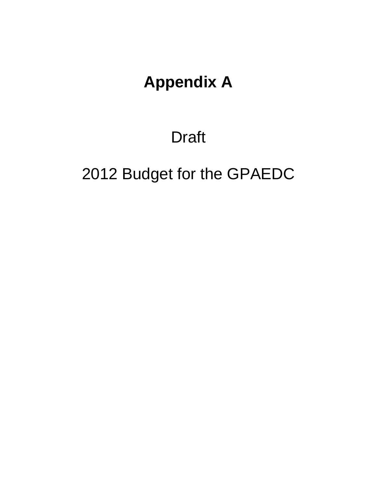## **Appendix A**

## Draft

# 2012 Budget for the GPAEDC